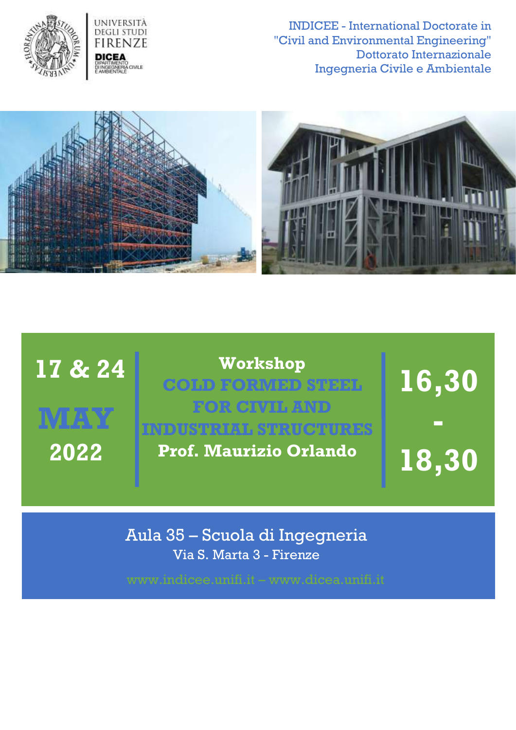

INDICEE - International Doctorate in "Civil and Environmental Engineering" Dottorato Internazionale Ingegneria Civile e Ambientale



| 17 & 24 | Workshop<br><b>COLD FORMED STEEL</b><br><b>FOR CIVIL AND</b>  | 16,30 |
|---------|---------------------------------------------------------------|-------|
| 2022    | <b>INDUSTRIAL STRUCTURES</b><br><b>Prof. Maurizio Orlando</b> | 18,30 |

Aula 35 – Scuola di Ingegneria Via S. Marta 3 - Firenze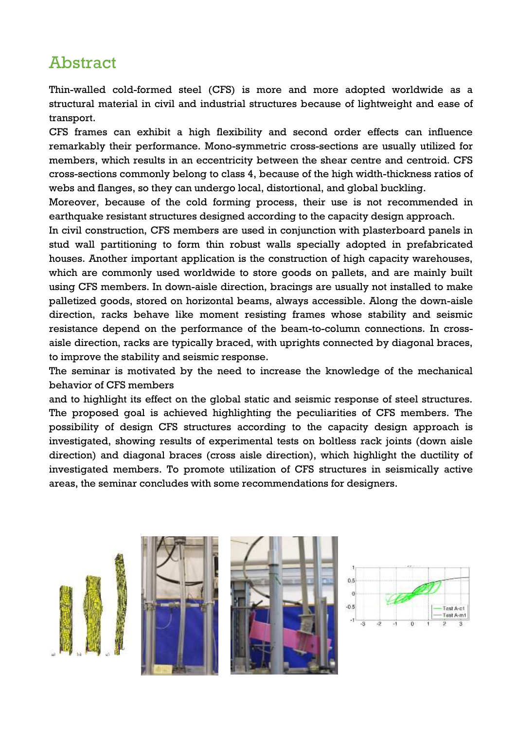## Abstract

Thin-walled cold-formed steel (CFS) is more and more adopted worldwide as a structural material in civil and industrial structures because of lightweight and ease of transport.

CFS frames can exhibit a high flexibility and second order effects can influence remarkably their performance. Mono-symmetric cross-sections are usually utilized for members, which results in an eccentricity between the shear centre and centroid. CFS cross-sections commonly belong to class 4, because of the high width-thickness ratios of webs and flanges, so they can undergo local, distortional, and global buckling.

Moreover, because of the cold forming process, their use is not recommended in earthquake resistant structures designed according to the capacity design approach.

In civil construction, CFS members are used in conjunction with plasterboard panels in stud wall partitioning to form thin robust walls specially adopted in prefabricated houses. Another important application is the construction of high capacity warehouses, which are commonly used worldwide to store goods on pallets, and are mainly built using CFS members. In down-aisle direction, bracings are usually not installed to make palletized goods, stored on horizontal beams, always accessible. Along the down-aisle direction, racks behave like moment resisting frames whose stability and seismic resistance depend on the performance of the beam-to-column connections. In crossaisle direction, racks are typically braced, with uprights connected by diagonal braces, to improve the stability and seismic response.

The seminar is motivated by the need to increase the knowledge of the mechanical behavior of CFS members

and to highlight its effect on the global static and seismic response of steel structures. The proposed goal is achieved highlighting the peculiarities of CFS members. The possibility of design CFS structures according to the capacity design approach is investigated, showing results of experimental tests on boltless rack joints (down aisle direction) and diagonal braces (cross aisle direction), which highlight the ductility of investigated members. To promote utilization of CFS structures in seismically active areas, the seminar concludes with some recommendations for designers.